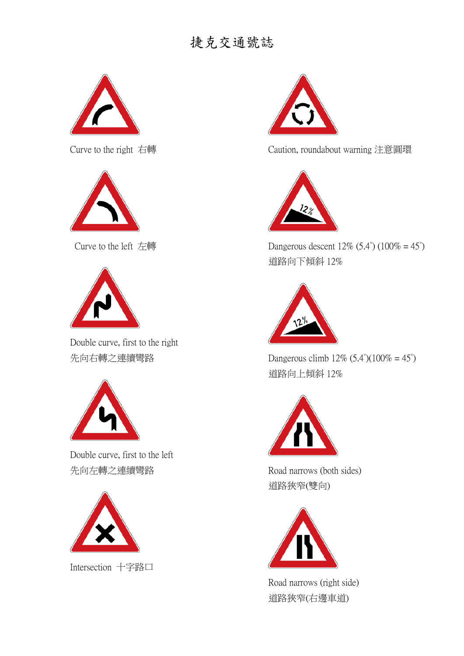

Curve to the right 右轉



Curve to the left 左轉



Double curve, first to the right 先向右轉之連續彎路



Double curve, first to the left 先向左轉之連續彎路



Intersection 十字路口



Caution, roundabout warning 注意圓環



Dangerous descent  $12\%$  (5.4°) (100% = 45°) 道路向下傾斜 12%



Dangerous climb  $12\%$  (5.4°)(100% = 45°) 道路向上傾斜 12%



Road narrows (both sides) 道路狹窄(雙向)



Road narrows (right side) 道路狹窄(右邊車道)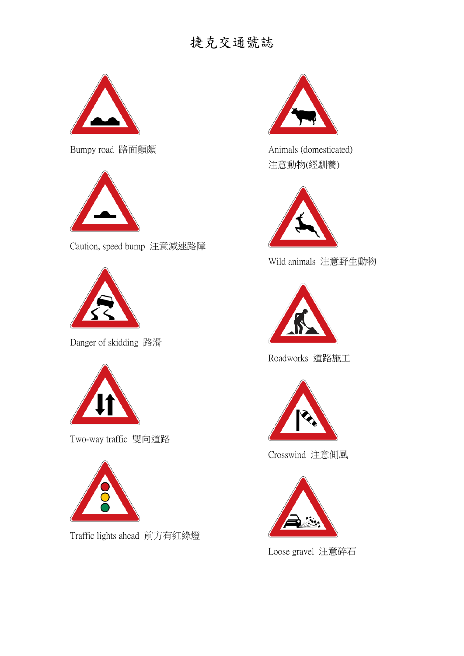

Bumpy road 路面顛頗



Caution, speed bump 注意減速路障



Danger of skidding 路滑



Two-way traffic 雙向道路



Traffic lights ahead 前方有紅綠燈



Animals (domesticated) 注意動物(經馴養)



Wild animals 注意野生動物



Roadworks 道路施工



Crosswind 注意側風



Loose gravel 注意碎石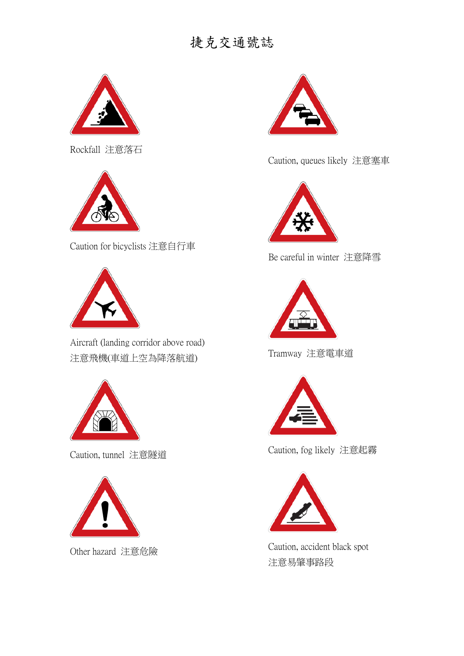

Rockfall 注意落石



Caution for bicyclists 注意自行車



Aircraft (landing corridor above road) 注意飛機(車道上空為降落航道)



Caution, tunnel 注意隧道



Other hazard 注意危險



Caution, queues likely 注意塞車



Be careful in winter 注意降雪



Tramway 注意電車道



Caution, fog likely 注意起霧



Caution, accident black spot 注意易肇事路段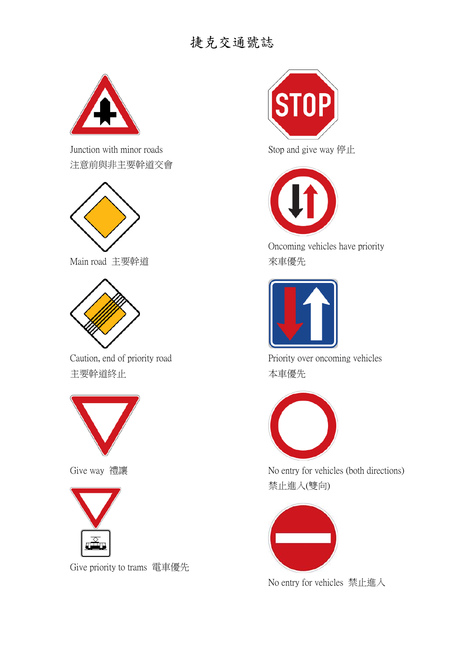

Junction with minor roads 注意前與非主要幹道交會



Main road 主要幹道



Caution, end of priority road 主要幹道終止



Give way 禮讓



Give priority to trams 電車優先



Stop and give way 停止



Oncoming vehicles have priority 來車優先



Priority over oncoming vehicles 本車優先



No entry for vehicles (both directions) 禁止進入(雙向)



No entry for vehicles 禁止進入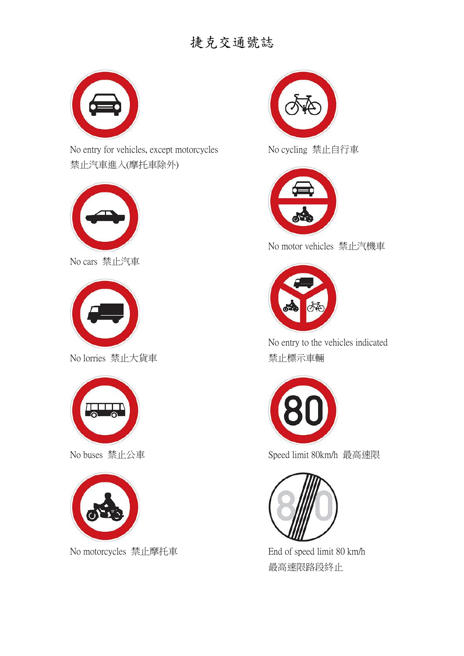

No entry for vehicles, except motorcycles 禁止汽車進入(摩托車除外)



No cars 禁止汽車



No lorries 禁止大貨車



No buses 禁止公車



No motorcycles 禁止摩托車



No cycling 禁止自行車



No motor vehicles 禁止汽機車



No entry to the vehicles indicated 禁止標示車輛



Speed limit 80km/h 最高速限



End of speed limit 80 km/h 最高速限路段終止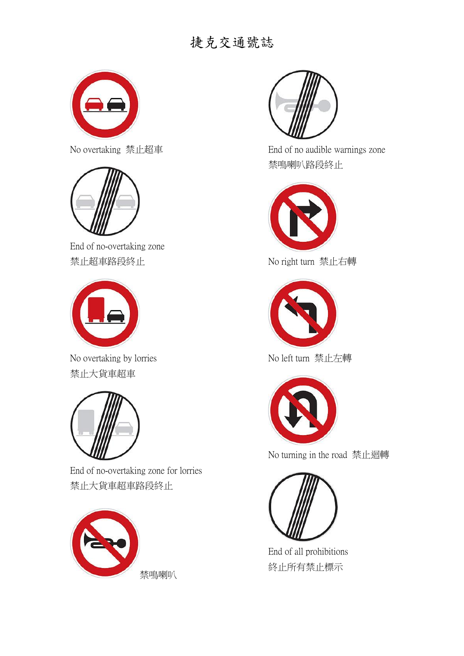

No overtaking 禁止超車



End of no-overtaking zone 禁止超車路段終止



No overtaking by lorries 禁止大貨車超車



End of no-overtaking zone for lorries 禁止大貨車超車路段終止





End of no audible warnings zone 禁鳴喇叭路段終止



No right turn 禁止右轉



No left turn 禁止左轉



No turning in the road 禁止迴轉



End of all prohibitions 終止所有禁止標示